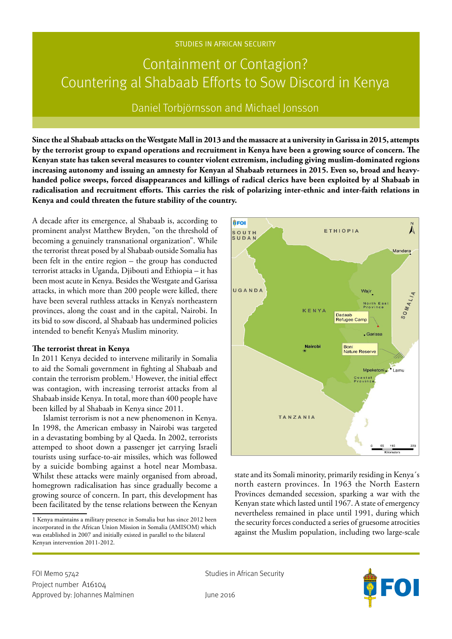### STUDIES IN AFRICAN SECURITY

# Containment or Contagion? Countering al Shabaab Efforts to Sow Discord in Kenya

Daniel Torbjörnsson and Michael Jonsson

**Since the al Shabaab attacks on the Westgate Mall in 2013 and the massacre at a university in Garissa in 2015, attempts by the terrorist group to expand operations and recruitment in Kenya have been a growing source of concern. The Kenyan state has taken several measures to counter violent extremism, including giving muslim-dominated regions increasing autonomy and issuing an amnesty for Kenyan al Shabaab returnees in 2015. Even so, broad and heavyhanded police sweeps, forced disappearances and killings of radical clerics have been exploited by al Shabaab in radicalisation and recruitment efforts. This carries the risk of polarizing inter-ethnic and inter-faith relations in Kenya and could threaten the future stability of the country.** 

A decade after its emergence, al Shabaab is, according to prominent analyst Matthew Bryden, "on the threshold of becoming a genuinely transnational organization". While the terrorist threat posed by al Shabaab outside Somalia has been felt in the entire region – the group has conducted terrorist attacks in Uganda, Djibouti and Ethiopia – it has been most acute in Kenya. Besides the Westgate and Garissa attacks, in which more than 200 people were killed, there have been several ruthless attacks in Kenya's northeastern provinces, along the coast and in the capital, Nairobi. In its bid to sow discord, al Shabaab has undermined policies intended to benefit Kenya's Muslim minority.

#### **The terrorist threat in Kenya**

In 2011 Kenya decided to intervene militarily in Somalia to aid the Somali government in fighting al Shabaab and contain the terrorism problem.<sup>1</sup> However, the initial effect was contagion, with increasing terrorist attacks from al Shabaab inside Kenya. In total, more than 400 people have been killed by al Shabaab in Kenya since 2011.

Islamist terrorism is not a new phenomenon in Kenya. In 1998, the American embassy in Nairobi was targeted in a devastating bombing by al Qaeda. In 2002, terrorists attemped to shoot down a passenger jet carrying Israeli tourists using surface-to-air missiles, which was followed by a suicide bombing against a hotel near Mombasa. Whilst these attacks were mainly organised from abroad, homegrown radicalisation has since gradually become a growing source of concern. In part, this development has been facilitated by the tense relations between the Kenyan



state and its Somali minority, primarily residing in Kenya´s north eastern provinces. In 1963 the North Eastern Provinces demanded secession, sparking a war with the Kenyan state which lasted until 1967. A state of emergency nevertheless remained in place until 1991, during which the security forces conducted a series of gruesome atrocities against the Muslim population, including two large-scale



<sup>1</sup> Kenya maintains a military presence in Somalia but has since 2012 been incorporated in the African Union Mission in Somalia (AMISOM) which was established in 2007 and initially existed in parallel to the bilateral Kenyan intervention 2011-2012.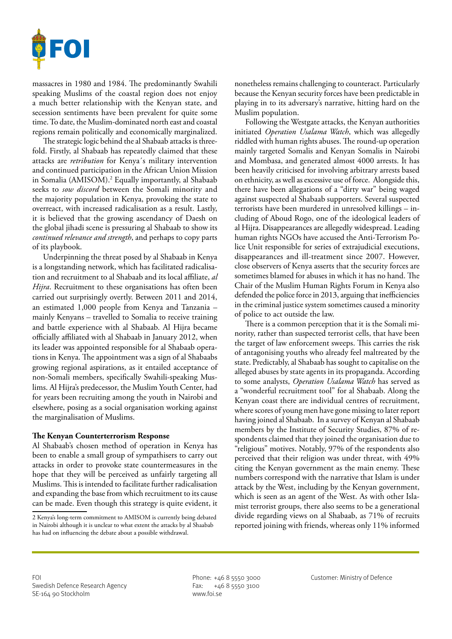

massacres in 1980 and 1984. The predominantly Swahili speaking Muslims of the coastal region does not enjoy a much better relationship with the Kenyan state, and secession sentiments have been prevalent for quite some time. To date, the Muslim-dominated north east and coastal regions remain politically and economically marginalized.

The strategic logic behind the al Shabaab attacks is threefold. Firstly, al Shabaab has repeatedly claimed that these attacks are *retribution* for Kenya´s military intervention and continued participation in the African Union Mission in Somalia (AMISOM).2 Equally importantly, al Shabaab seeks to *sow discord* between the Somali minority and the majority population in Kenya, provoking the state to overreact, with increased radicalisation as a result. Lastly, it is believed that the growing ascendancy of Daesh on the global jihadi scene is pressuring al Shabaab to show its *continued relevance and strength*, and perhaps to copy parts of its playbook.

Underpinning the threat posed by al Shabaab in Kenya is a longstanding network, which has facilitated radicalisation and recruitment to al Shabaab and its local affiliate, *al Hijra*. Recruitment to these organisations has often been carried out surprisingly overtly. Between 2011 and 2014, an estimated 1,000 people from Kenya and Tanzania – mainly Kenyans – travelled to Somalia to receive training and battle experience with al Shabaab. Al Hijra became officially affiliated with al Shabaab in January 2012, when its leader was appointed responsible for al Shabaab operations in Kenya. The appointment was a sign of al Shabaabs growing regional aspirations, as it entailed acceptance of non-Somali members, specifically Swahili-speaking Muslims. Al Hijra's predecessor, the Muslim Youth Center, had for years been recruiting among the youth in Nairobi and elsewhere, posing as a social organisation working against the marginalisation of Muslims.

## **The Kenyan Counterterrorism Response**

Al Shabaab's chosen method of operation in Kenya has been to enable a small group of sympathisers to carry out attacks in order to provoke state countermeasures in the hope that they will be perceived as unfairly targeting all Muslims. This is intended to facilitate further radicalisation and expanding the base from which recruitment to its cause can be made. Even though this strategy is quite evident, it

nonetheless remains challenging to counteract. Particularly because the Kenyan security forces have been predictable in playing in to its adversary's narrative, hitting hard on the Muslim population.

Following the Westgate attacks, the Kenyan authorities initiated *Operation Usalama Watch*, which was allegedly riddled with human rights abuses. The round-up operation mainly targeted Somalis and Kenyan Somalis in Nairobi and Mombasa, and generated almost 4000 arrests. It has been heavily criticised for involving arbitrary arrests based on ethnicity, as well as excessive use of force. Alongside this, there have been allegations of a "dirty war" being waged against suspected al Shabaab supporters. Several suspected terrorists have been murdered in unresolved killings – including of Aboud Rogo, one of the ideological leaders of al Hijra. Disappearances are allegedly widespread. Leading human rights NGOs have accused the Anti-Terrorism Police Unit responsible for series of extrajudicial executions, disappearances and ill-treatment since 2007. However, close observers of Kenya asserts that the security forces are sometimes blamed for abuses in which it has no hand. The Chair of the Muslim Human Rights Forum in Kenya also defended the police force in 2013, arguing that inefficiencies in the criminal justice system sometimes caused a minority of police to act outside the law.

There is a common perception that it is the Somali minority, rather than suspected terrorist cells, that have been the target of law enforcement sweeps. This carries the risk of antagonising youths who already feel maltreated by the state. Predictably, al Shabaab has sought to capitalise on the alleged abuses by state agents in its propaganda. According to some analysts, *Operation Usalama Watch* has served as a "wonderful recruitment tool" for al Shabaab. Along the Kenyan coast there are individual centres of recruitment, where scores of young men have gone missing to later report having joined al Shabaab. In a survey of Kenyan al Shabaab members by the Institute of Security Studies, 87% of respondents claimed that they joined the organisation due to "religious" motives. Notably, 97% of the respondents also perceived that their religion was under threat, with 49% citing the Kenyan government as the main enemy. These numbers correspond with the narrative that Islam is under attack by the West, including by the Kenyan government, which is seen as an agent of the West. As with other Islamist terrorist groups, there also seems to be a generational divide regarding views on al Shabaab, as 71% of recruits reported joining with friends, whereas only 11% informed

<sup>2</sup> Kenya's long-term commitment to AMISOM is currently being debated in Nairobi although it is unclear to what extent the attacks by al Shaabab has had on influencing the debate about a possible withdrawal.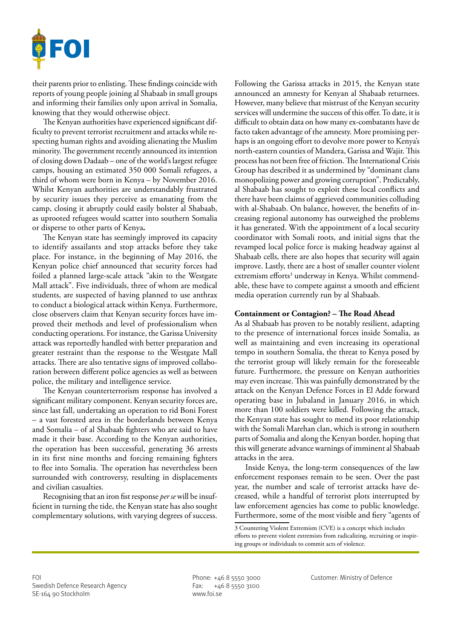

their parents prior to enlisting. These findings coincide with reports of young people joining al Shabaab in small groups and informing their families only upon arrival in Somalia, knowing that they would otherwise object.

The Kenyan authorities have experienced significant difficulty to prevent terrorist recruitment and attacks while respecting human rights and avoiding alienating the Muslim minority. The government recently announced its intention of closing down Dadaab – one of the world's largest refugee camps, housing an estimated 350 000 Somali refugees, a third of whom were born in Kenya – by November 2016. Whilst Kenyan authorities are understandably frustrated by security issues they perceive as emanating from the camp, closing it abruptly could easily bolster al Shabaab, as uprooted refugees would scatter into southern Somalia or disperse to other parts of Kenya**.**

The Kenyan state has seemingly improved its capacity to identify assailants and stop attacks before they take place. For instance, in the beginning of May 2016, the Kenyan police chief announced that security forces had foiled a planned large-scale attack "akin to the Westgate Mall attack". Five individuals, three of whom are medical students, are suspected of having planned to use anthrax to conduct a biological attack within Kenya. Furthermore, close observers claim that Kenyan security forces have improved their methods and level of professionalism when conducting operations. For instance, the Garissa University attack was reportedly handled with better preparation and greater restraint than the response to the Westgate Mall attacks. There are also tentative signs of improved collaboration between different police agencies as well as between police, the military and intelligence service.

The Kenyan counterterrorism response has involved a significant military component. Kenyan security forces are, since last fall, undertaking an operation to rid Boni Forest – a vast forested area in the borderlands between Kenya and Somalia – of al Shabaab fighters who are said to have made it their base. According to the Kenyan authorities, the operation has been successful, generating 36 arrests in its first nine months and forcing remaining fighters to flee into Somalia. The operation has nevertheless been surrounded with controversy, resulting in displacements and civilian casualties.

Recognising that an iron fist response *per se* will be insufficient in turning the tide, the Kenyan state has also sought complementary solutions, with varying degrees of success.

Following the Garissa attacks in 2015, the Kenyan state announced an amnesty for Kenyan al Shabaab returnees. However, many believe that mistrust of the Kenyan security services will undermine the success of this offer. To date, it is difficult to obtain data on how many ex-combatants have de facto taken advantage of the amnesty. More promising perhaps is an ongoing effort to devolve more power to Kenya's north-eastern counties of Mandera, Garissa and Wajir. This process has not been free of friction. The International Crisis Group has described it as undermined by "dominant clans monopolizing power and growing corruption". Predictably, al Shabaab has sought to exploit these local conflicts and there have been claims of aggrieved communities colluding with al-Shabaab. On balance, however, the benefits of increasing regional autonomy has outweighed the problems it has generated. With the appointment of a local security coordinator with Somali roots, and initial signs that the revamped local police force is making headway against al Shabaab cells, there are also hopes that security will again improve. Lastly, there are a host of smaller counter violent extremism efforts<sup>3</sup> underway in Kenya. Whilst commendable, these have to compete against a smooth and efficient media operation currently run by al Shabaab.

#### **Containment or Contagion? – The Road Ahead**

As al Shabaab has proven to be notably resilient, adapting to the presence of international forces inside Somalia, as well as maintaining and even increasing its operational tempo in southern Somalia, the threat to Kenya posed by the terrorist group will likely remain for the foreseeable future. Furthermore, the pressure on Kenyan authorities may even increase. This was painfully demonstrated by the attack on the Kenyan Defence Forces in El Adde forward operating base in Jubaland in January 2016, in which more than 100 soldiers were killed. Following the attack, the Kenyan state has sought to mend its poor relationship with the Somali Marehan clan, which is strong in southern parts of Somalia and along the Kenyan border, hoping that this will generate advance warnings of imminent al Shabaab attacks in the area.

Inside Kenya, the long-term consequences of the law enforcement responses remain to be seen. Over the past year, the number and scale of terrorist attacks have decreased, while a handful of terrorist plots interrupted by law enforcement agencies has come to public knowledge. Furthermore, some of the most visible and fiery "agents of

<sup>3</sup> Countering Violent Extremism (CVE) is a concept which includes efforts to prevent violent extremists from radicalizing, recruiting or inspiring groups or individuals to commit acts of violence.